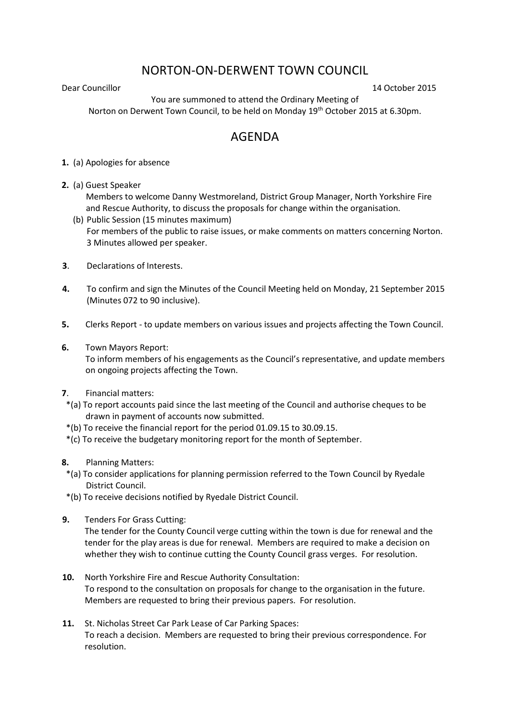## NORTON-ON-DERWENT TOWN COUNCIL

Dear Councillor 14 October 2015

You are summoned to attend the Ordinary Meeting of Norton on Derwent Town Council, to be held on Monday 19th October 2015 at 6.30pm.

## AGENDA

**1.** (a) Apologies for absence

**2.** (a) Guest Speaker

Members to welcome Danny Westmoreland, District Group Manager, North Yorkshire Fire and Rescue Authority, to discuss the proposals for change within the organisation.

- (b) Public Session (15 minutes maximum) For members of the public to raise issues, or make comments on matters concerning Norton. 3 Minutes allowed per speaker.
- **3**. Declarations of Interests.
- **4.** To confirm and sign the Minutes of the Council Meeting held on Monday, 21 September 2015 (Minutes 072 to 90 inclusive).
- **5.** Clerks Report to update members on various issues and projects affecting the Town Council.
- **6.** Town Mayors Report:

 To inform members of his engagements as the Council's representative, and update members on ongoing projects affecting the Town.

- **7**. Financial matters:
- \*(a) To report accounts paid since the last meeting of the Council and authorise cheques to be drawn in payment of accounts now submitted.
- \*(b) To receive the financial report for the period 01.09.15 to 30.09.15.
- \*(c) To receive the budgetary monitoring report for the month of September.
- **8.** Planning Matters:
	- \*(a) To consider applications for planning permission referred to the Town Council by Ryedale District Council.
- \*(b) To receive decisions notified by Ryedale District Council.
- **9.** Tenders For Grass Cutting:

The tender for the County Council verge cutting within the town is due for renewal and the tender for the play areas is due for renewal. Members are required to make a decision on whether they wish to continue cutting the County Council grass verges. For resolution.

- **10.** North Yorkshire Fire and Rescue Authority Consultation: To respond to the consultation on proposals for change to the organisation in the future. Members are requested to bring their previous papers. For resolution.
- **11.** St. Nicholas Street Car Park Lease of Car Parking Spaces: To reach a decision. Members are requested to bring their previous correspondence. For resolution.